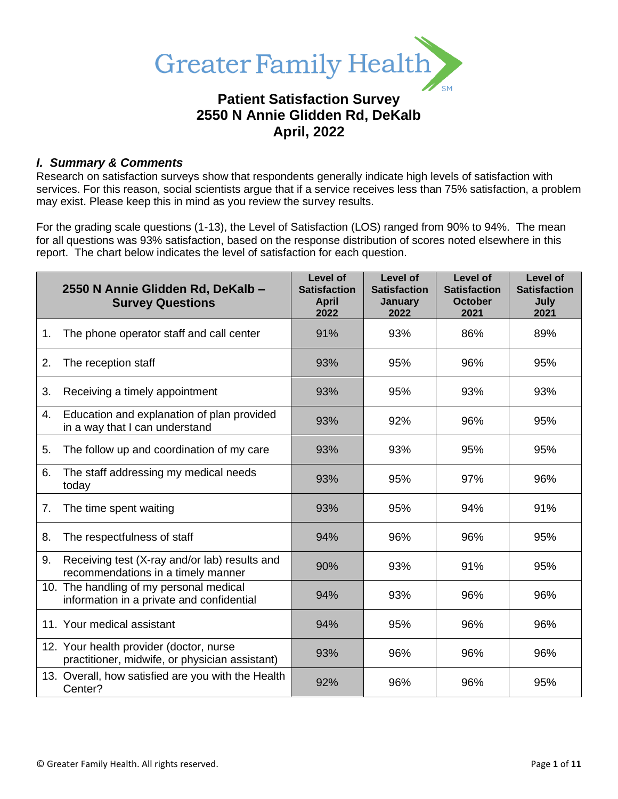

# **Patient Satisfaction Survey 2550 N Annie Glidden Rd, DeKalb April, 2022**

# *I. Summary & Comments*

Research on satisfaction surveys show that respondents generally indicate high levels of satisfaction with services. For this reason, social scientists argue that if a service receives less than 75% satisfaction, a problem may exist. Please keep this in mind as you review the survey results.

For the grading scale questions (1-13), the Level of Satisfaction (LOS) ranged from 90% to 94%. The mean for all questions was 93% satisfaction, based on the response distribution of scores noted elsewhere in this report. The chart below indicates the level of satisfaction for each question.

|    | 2550 N Annie Glidden Rd, DeKalb -<br><b>Survey Questions</b>                              | Level of<br><b>Satisfaction</b><br><b>April</b><br>2022 | Level of<br><b>Satisfaction</b><br>January<br>2022 | Level of<br><b>Satisfaction</b><br><b>October</b><br>2021 | Level of<br><b>Satisfaction</b><br>July<br>2021 |
|----|-------------------------------------------------------------------------------------------|---------------------------------------------------------|----------------------------------------------------|-----------------------------------------------------------|-------------------------------------------------|
| 1. | The phone operator staff and call center                                                  | 91%                                                     | 93%                                                | 86%                                                       | 89%                                             |
| 2. | The reception staff                                                                       | 93%                                                     | 95%                                                | 96%                                                       | 95%                                             |
| 3. | Receiving a timely appointment                                                            | 93%                                                     | 95%                                                | 93%                                                       | 93%                                             |
| 4. | Education and explanation of plan provided<br>in a way that I can understand              | 93%                                                     | 92%                                                | 96%                                                       | 95%                                             |
| 5. | The follow up and coordination of my care                                                 | 93%                                                     | 93%                                                | 95%                                                       | 95%                                             |
| 6. | The staff addressing my medical needs<br>today                                            | 93%                                                     | 95%                                                | 97%                                                       | 96%                                             |
| 7. | The time spent waiting                                                                    | 93%                                                     | 95%                                                | 94%                                                       | 91%                                             |
| 8. | The respectfulness of staff                                                               | 94%                                                     | 96%                                                | 96%                                                       | 95%                                             |
| 9. | Receiving test (X-ray and/or lab) results and<br>recommendations in a timely manner       | 90%                                                     | 93%                                                | 91%                                                       | 95%                                             |
|    | 10. The handling of my personal medical<br>information in a private and confidential      | 94%                                                     | 93%                                                | 96%                                                       | 96%                                             |
|    | 11. Your medical assistant                                                                | 94%                                                     | 95%                                                | 96%                                                       | 96%                                             |
|    | 12. Your health provider (doctor, nurse<br>practitioner, midwife, or physician assistant) | 93%                                                     | 96%                                                | 96%                                                       | 96%                                             |
|    | 13. Overall, how satisfied are you with the Health<br>Center?                             | 92%                                                     | 96%                                                | 96%                                                       | 95%                                             |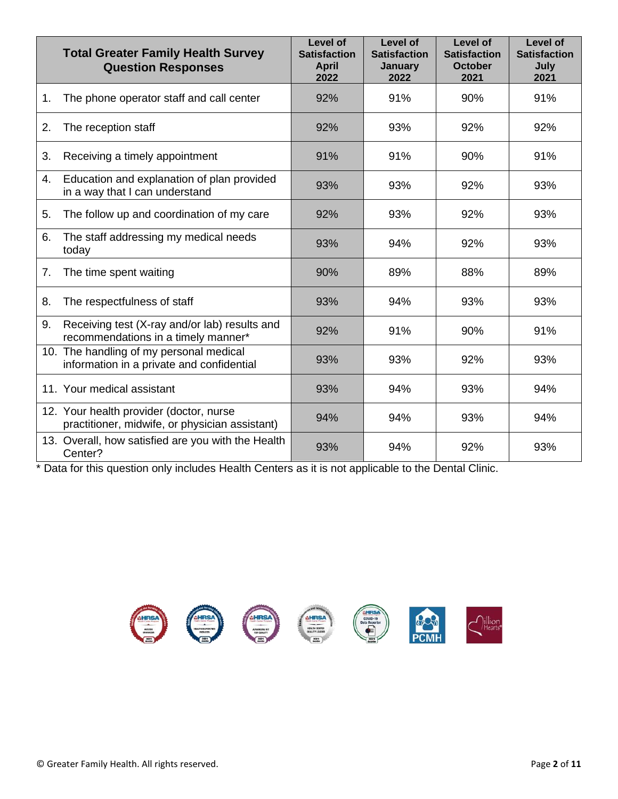|    | <b>Total Greater Family Health Survey</b><br><b>Question Responses</b>                    | Level of<br><b>Satisfaction</b><br><b>April</b><br>2022 | Level of<br><b>Satisfaction</b><br><b>January</b><br>2022 | Level of<br><b>Satisfaction</b><br><b>October</b><br>2021 | Level of<br><b>Satisfaction</b><br>July<br>2021 |
|----|-------------------------------------------------------------------------------------------|---------------------------------------------------------|-----------------------------------------------------------|-----------------------------------------------------------|-------------------------------------------------|
| 1. | The phone operator staff and call center                                                  | 92%                                                     | 91%                                                       | 90%                                                       | 91%                                             |
| 2. | The reception staff                                                                       | 92%                                                     | 93%                                                       | 92%                                                       | 92%                                             |
| 3. | Receiving a timely appointment                                                            | 91%                                                     | 91%                                                       | 90%                                                       | 91%                                             |
| 4. | Education and explanation of plan provided<br>in a way that I can understand              | 93%                                                     | 93%                                                       | 92%                                                       | 93%                                             |
| 5. | The follow up and coordination of my care                                                 | 92%                                                     | 93%                                                       | 92%                                                       | 93%                                             |
| 6. | The staff addressing my medical needs<br>today                                            | 93%                                                     | 94%                                                       | 92%                                                       | 93%                                             |
| 7. | The time spent waiting                                                                    | 90%                                                     | 89%                                                       | 88%                                                       | 89%                                             |
| 8. | The respectfulness of staff                                                               | 93%                                                     | 94%                                                       | 93%                                                       | 93%                                             |
| 9. | Receiving test (X-ray and/or lab) results and<br>recommendations in a timely manner*      | 92%                                                     | 91%                                                       | 90%                                                       | 91%                                             |
|    | 10. The handling of my personal medical<br>information in a private and confidential      | 93%                                                     | 93%                                                       | 92%                                                       | 93%                                             |
|    | 11. Your medical assistant                                                                | 93%                                                     | 94%                                                       | 93%                                                       | 94%                                             |
|    | 12. Your health provider (doctor, nurse<br>practitioner, midwife, or physician assistant) | 94%                                                     | 94%                                                       | 93%                                                       | 94%                                             |
|    | 13. Overall, how satisfied are you with the Health<br>Center?                             | 93%                                                     | 94%                                                       | 92%                                                       | 93%                                             |

\* Data for this question only includes Health Centers as it is not applicable to the Dental Clinic.

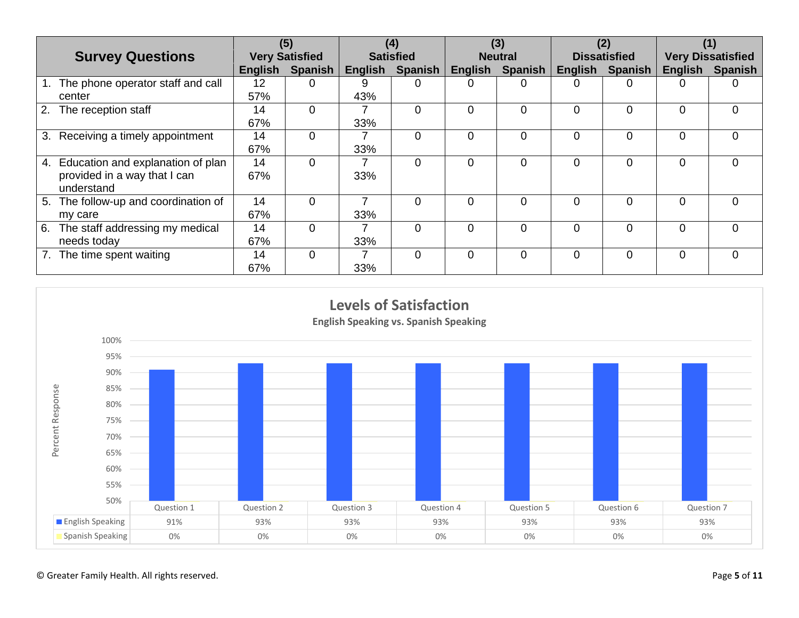|                                         |                       | (5)            |                  | (4)            |                | (3)            |                     | (2)      |                          | (1)            |
|-----------------------------------------|-----------------------|----------------|------------------|----------------|----------------|----------------|---------------------|----------|--------------------------|----------------|
| <b>Survey Questions</b>                 | <b>Very Satisfied</b> |                | <b>Satisfied</b> |                | <b>Neutral</b> |                | <b>Dissatisfied</b> |          | <b>Very Dissatisfied</b> |                |
|                                         | <b>English</b>        | <b>Spanish</b> | English          | <b>Spanish</b> | English        | <b>Spanish</b> | English             | Spanish  | <b>English</b>           | <b>Spanish</b> |
| The phone operator staff and call       | 12                    | 0              | 9                | 0              | 0              |                |                     |          |                          |                |
| center                                  | 57%                   |                | 43%              |                |                |                |                     |          |                          |                |
| 2.<br>The reception staff               | 14                    | $\Omega$       |                  | $\Omega$       | $\Omega$       | 0              | $\Omega$            | 0        | $\Omega$                 | $\Omega$       |
|                                         | 67%                   |                | 33%              |                |                |                |                     |          |                          |                |
| 3. Receiving a timely appointment       | 14                    | 0              |                  | $\Omega$       | $\Omega$       | 0              | $\Omega$            |          | $\Omega$                 | $\Omega$       |
|                                         | 67%                   |                | 33%              |                |                |                |                     |          |                          |                |
| 4. Education and explanation of plan    | 14                    | $\Omega$       |                  | $\Omega$       | $\Omega$       | 0              | $\Omega$            | 0        | $\Omega$                 | $\Omega$       |
| provided in a way that I can            | 67%                   |                | 33%              |                |                |                |                     |          |                          |                |
| understand                              |                       |                |                  |                |                |                |                     |          |                          |                |
| The follow-up and coordination of<br>5. | 14                    | $\Omega$       |                  | $\Omega$       | $\Omega$       | 0              | $\Omega$            | $\Omega$ | $\Omega$                 | $\Omega$       |
| my care                                 | 67%                   |                | 33%              |                |                |                |                     |          |                          |                |
| The staff addressing my medical<br>6.   | 14                    | $\Omega$       |                  | $\Omega$       | $\Omega$       | 0              | $\Omega$            | $\Omega$ | $\Omega$                 | $\Omega$       |
| needs today                             | 67%                   |                | 33%              |                |                |                |                     |          |                          |                |
| The time spent waiting                  | 14                    | $\Omega$       |                  | $\Omega$       | $\Omega$       | $\Omega$       | $\Omega$            | 0        | $\Omega$                 | $\Omega$       |
|                                         | 67%                   |                | 33%              |                |                |                |                     |          |                          |                |

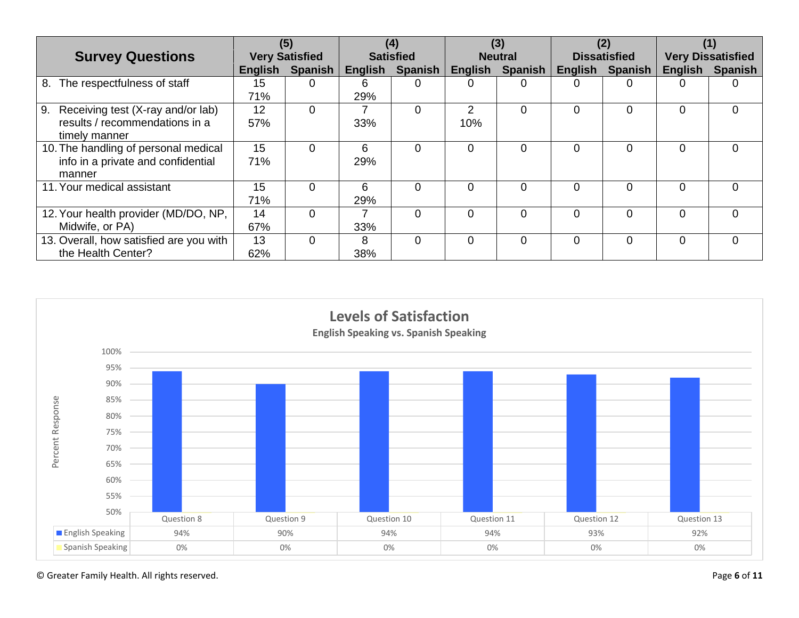|                                         | (5)                   |                | (4)              |          | (3)            |             | (2)                 |                | (1)                      |                |
|-----------------------------------------|-----------------------|----------------|------------------|----------|----------------|-------------|---------------------|----------------|--------------------------|----------------|
| <b>Survey Questions</b>                 | <b>Very Satisfied</b> |                | <b>Satisfied</b> |          | <b>Neutral</b> |             | <b>Dissatisfied</b> |                | <b>Very Dissatisfied</b> |                |
|                                         | English               | <b>Spanish</b> | English          | Spanish  | English        | Spanish $ $ | <b>English</b>      | <b>Spanish</b> | English                  | <b>Spanish</b> |
| The respectfulness of staff<br>8.       | 15                    | 0              | 6.               | $\Omega$ | 0              | 0           | 0                   |                |                          | $\mathbf{0}$   |
|                                         | 71%                   |                | 29%              |          |                |             |                     |                |                          |                |
| 9.<br>Receiving test (X-ray and/or lab) | 12                    | $\Omega$       |                  | 0        | 2              | 0           | 0                   |                | 0                        | $\Omega$       |
| results / recommendations in a          | 57%                   |                | 33%              |          | 10%            |             |                     |                |                          |                |
| timely manner                           |                       |                |                  |          |                |             |                     |                |                          |                |
| 10. The handling of personal medical    | 15                    | 0              | 6                | $\Omega$ | $\Omega$       | 0           | $\Omega$            | $\Omega$       | 0                        | $\Omega$       |
| info in a private and confidential      | 71%                   |                | 29%              |          |                |             |                     |                |                          |                |
| manner                                  |                       |                |                  |          |                |             |                     |                |                          |                |
| 11. Your medical assistant              | 15                    | 0              | 6                | 0        | 0              | 0           | $\Omega$            |                | <sup>0</sup>             | ∩              |
|                                         | 71%                   |                | 29%              |          |                |             |                     |                |                          |                |
| 12. Your health provider (MD/DO, NP,    | 14                    | $\Omega$       |                  | $\Omega$ | $\Omega$       | 0           | $\Omega$            | 0              | $\Omega$                 | $\Omega$       |
| Midwife, or PA)                         | 67%                   |                | 33%              |          |                |             |                     |                |                          |                |
| 13. Overall, how satisfied are you with | 13                    | $\Omega$       | 8                | $\Omega$ | $\Omega$       | 0           | $\Omega$            | 0              | $\Omega$                 | $\Omega$       |
| the Health Center?                      | 62%                   |                | 38%              |          |                |             |                     |                |                          |                |

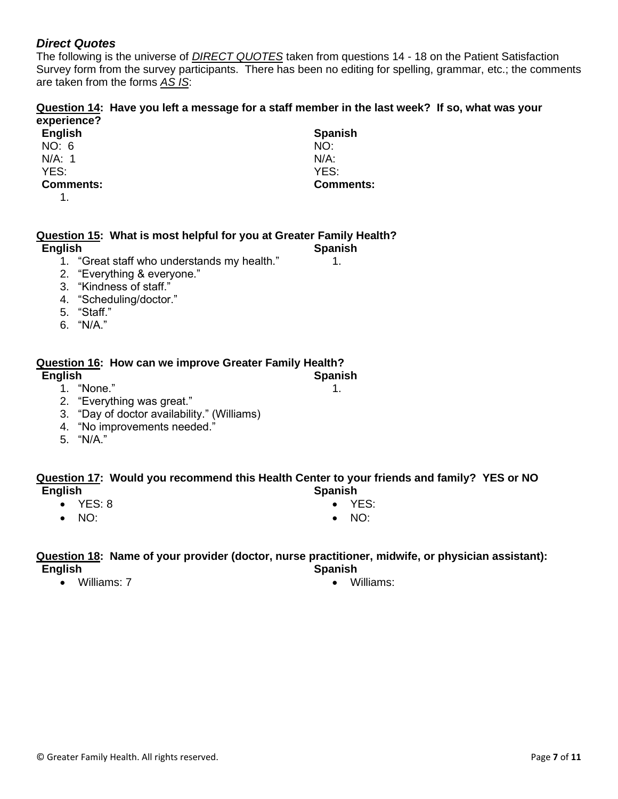# *Direct Quotes*

The following is the universe of *DIRECT QUOTES* taken from questions 14 - 18 on the Patient Satisfaction Survey form from the survey participants. There has been no editing for spelling, grammar, etc.; the comments are taken from the forms *AS IS*:

> **Spanish** NO: N/A: YES:

**Comments:**

1.

**Spanish** 1.

## **Question 14: Have you left a message for a staff member in the last week? If so, what was your experience?**

| English          |  |  |  |  |
|------------------|--|--|--|--|
| NO: 6            |  |  |  |  |
| N/A: 1           |  |  |  |  |
| YFS∙             |  |  |  |  |
| <b>Comments:</b> |  |  |  |  |

1.

### **Question 15: What is most helpful for you at Greater Family Health? Spanish**

**English**

- 1. "Great staff who understands my health."
- 2. "Everything & everyone."
- 3. "Kindness of staff."
- 4. "Scheduling/doctor."
- 5. "Staff."
- 6. "N/A."

# **Question 16: How can we improve Greater Family Health?**

**English**

- 1. "None."
- 2. "Everything was great."
- 3. "Day of doctor availability." (Williams)
- 4. "No improvements needed."
- 5. "N/A."

### **Question 17: Would you recommend this Health Center to your friends and family? YES or NO English Spanish**

- YES: 8
- NO:
- YES:
- NO:

### **Question 18: Name of your provider (doctor, nurse practitioner, midwife, or physician assistant): English Spanish**

• Williams: 7

• Williams: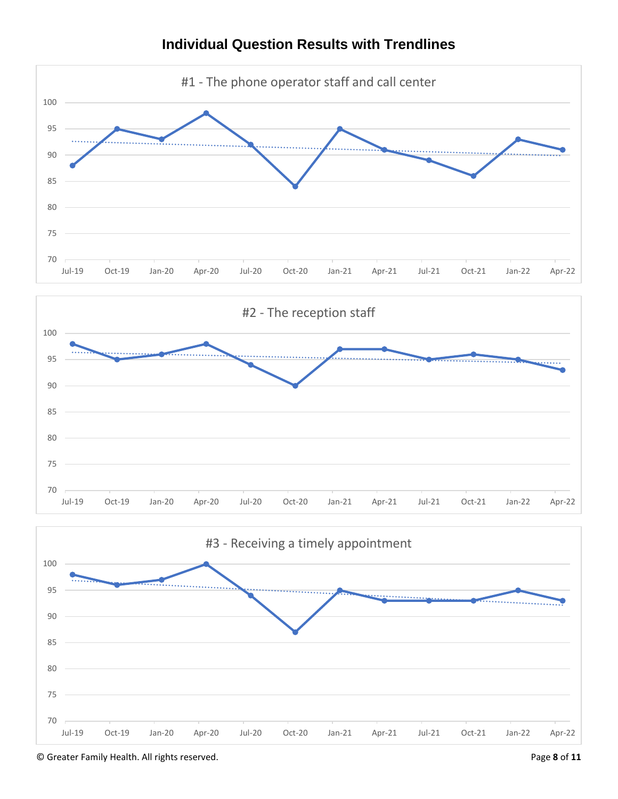

# **Individual Question Results with Trendlines**

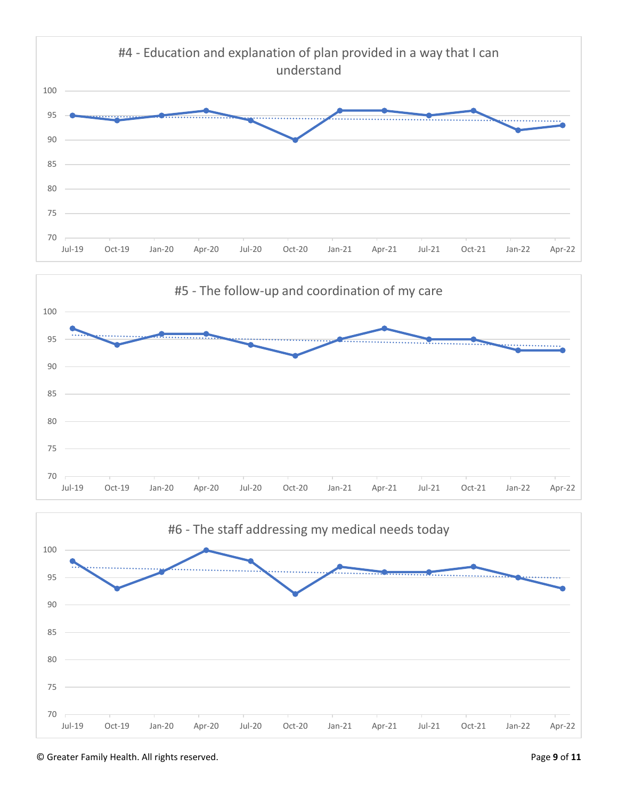



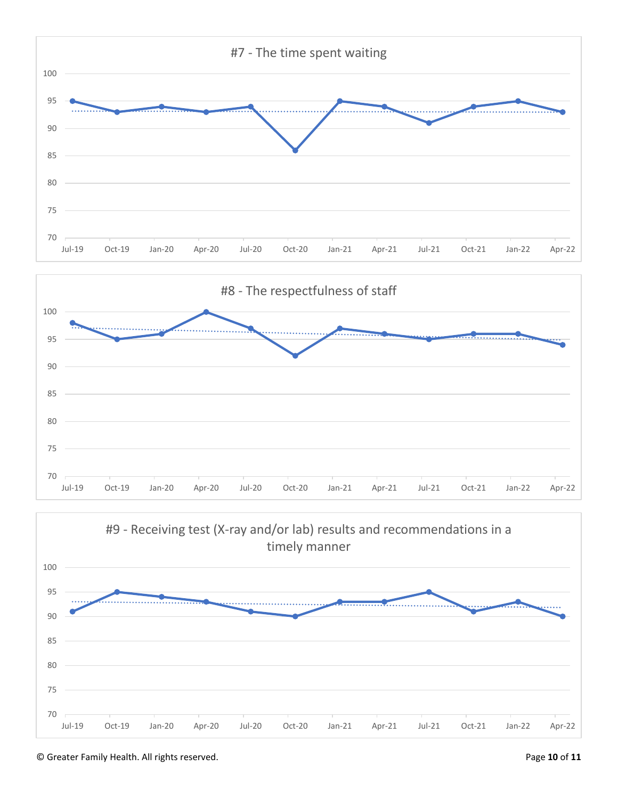